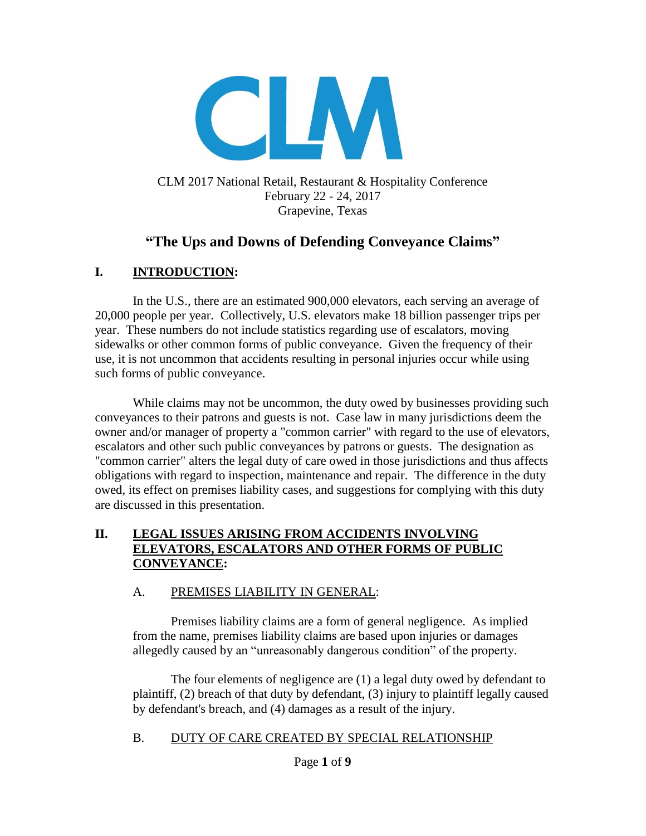

### CLM 2017 National Retail, Restaurant & Hospitality Conference February 22 - 24, 2017 Grapevine, Texas

# **"The Ups and Downs of Defending Conveyance Claims"**

## **I. INTRODUCTION:**

In the U.S., there are an estimated 900,000 elevators, each serving an average of 20,000 people per year. Collectively, U.S. elevators make 18 billion passenger trips per year. These numbers do not include statistics regarding use of escalators, moving sidewalks or other common forms of public conveyance. Given the frequency of their use, it is not uncommon that accidents resulting in personal injuries occur while using such forms of public conveyance.

While claims may not be uncommon, the duty owed by businesses providing such conveyances to their patrons and guests is not. Case law in many jurisdictions deem the owner and/or manager of property a "common carrier" with regard to the use of elevators, escalators and other such public conveyances by patrons or guests. The designation as "common carrier" alters the legal duty of care owed in those jurisdictions and thus affects obligations with regard to inspection, maintenance and repair. The difference in the duty owed, its effect on premises liability cases, and suggestions for complying with this duty are discussed in this presentation.

### **II. LEGAL ISSUES ARISING FROM ACCIDENTS INVOLVING ELEVATORS, ESCALATORS AND OTHER FORMS OF PUBLIC CONVEYANCE:**

#### A. PREMISES LIABILITY IN GENERAL:

Premises liability claims are a form of general negligence. As implied from the name, premises liability claims are based upon injuries or damages allegedly caused by an "unreasonably dangerous condition" of the property.

The four elements of negligence are (1) a legal duty owed by defendant to plaintiff, (2) breach of that duty by defendant, (3) injury to plaintiff legally caused by defendant's breach, and (4) damages as a result of the injury.

#### B. DUTY OF CARE CREATED BY SPECIAL RELATIONSHIP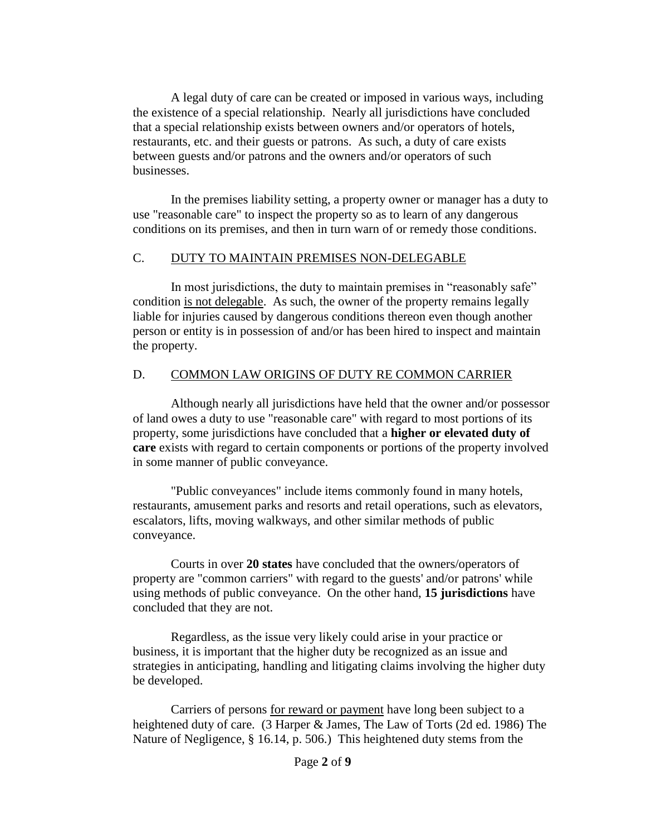A legal duty of care can be created or imposed in various ways, including the existence of a special relationship. Nearly all jurisdictions have concluded that a special relationship exists between owners and/or operators of hotels, restaurants, etc. and their guests or patrons. As such, a duty of care exists between guests and/or patrons and the owners and/or operators of such businesses.

In the premises liability setting, a property owner or manager has a duty to use "reasonable care" to inspect the property so as to learn of any dangerous conditions on its premises, and then in turn warn of or remedy those conditions.

#### C. DUTY TO MAINTAIN PREMISES NON-DELEGABLE

In most jurisdictions, the duty to maintain premises in "reasonably safe" condition is not delegable. As such, the owner of the property remains legally liable for injuries caused by dangerous conditions thereon even though another person or entity is in possession of and/or has been hired to inspect and maintain the property.

#### D. COMMON LAW ORIGINS OF DUTY RE COMMON CARRIER

Although nearly all jurisdictions have held that the owner and/or possessor of land owes a duty to use "reasonable care" with regard to most portions of its property, some jurisdictions have concluded that a **higher or elevated duty of care** exists with regard to certain components or portions of the property involved in some manner of public conveyance.

"Public conveyances" include items commonly found in many hotels, restaurants, amusement parks and resorts and retail operations, such as elevators, escalators, lifts, moving walkways, and other similar methods of public conveyance.

Courts in over **20 states** have concluded that the owners/operators of property are "common carriers" with regard to the guests' and/or patrons' while using methods of public conveyance. On the other hand, **15 jurisdictions** have concluded that they are not.

Regardless, as the issue very likely could arise in your practice or business, it is important that the higher duty be recognized as an issue and strategies in anticipating, handling and litigating claims involving the higher duty be developed.

Carriers of persons for reward or payment have long been subject to a heightened duty of care. (3 Harper & James, The Law of Torts (2d ed. 1986) The Nature of Negligence, § 16.14, p. 506.) This heightened duty stems from the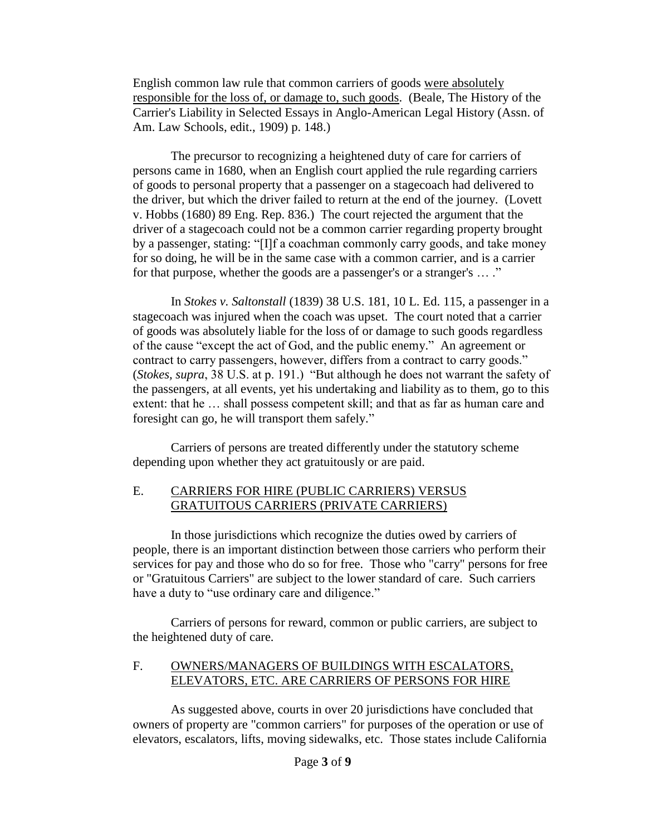English common law rule that common carriers of goods were absolutely responsible for the loss of, or damage to, such goods. (Beale, The History of the Carrier's Liability in Selected Essays in Anglo-American Legal History (Assn. of Am. Law Schools, edit., 1909) p. 148.)

The precursor to recognizing a heightened duty of care for carriers of persons came in 1680, when an English court applied the rule regarding carriers of goods to personal property that a passenger on a stagecoach had delivered to the driver, but which the driver failed to return at the end of the journey. (Lovett v. Hobbs (1680) 89 Eng. Rep. 836.) The court rejected the argument that the driver of a stagecoach could not be a common carrier regarding property brought by a passenger, stating: "[I]f a coachman commonly carry goods, and take money for so doing, he will be in the same case with a common carrier, and is a carrier for that purpose, whether the goods are a passenger's or a stranger's … ."

In *Stokes v. Saltonstall* (1839) 38 U.S. 181, 10 L. Ed. 115, a passenger in a stagecoach was injured when the coach was upset. The court noted that a carrier of goods was absolutely liable for the loss of or damage to such goods regardless of the cause "except the act of God, and the public enemy." An agreement or contract to carry passengers, however, differs from a contract to carry goods." (*Stokes, supra*, 38 U.S. at p. 191.) "But although he does not warrant the safety of the passengers, at all events, yet his undertaking and liability as to them, go to this extent: that he … shall possess competent skill; and that as far as human care and foresight can go, he will transport them safely."

Carriers of persons are treated differently under the statutory scheme depending upon whether they act gratuitously or are paid.

### E. CARRIERS FOR HIRE (PUBLIC CARRIERS) VERSUS GRATUITOUS CARRIERS (PRIVATE CARRIERS)

In those jurisdictions which recognize the duties owed by carriers of people, there is an important distinction between those carriers who perform their services for pay and those who do so for free. Those who "carry" persons for free or "Gratuitous Carriers" are subject to the lower standard of care. Such carriers have a duty to "use ordinary care and diligence."

Carriers of persons for reward, common or public carriers, are subject to the heightened duty of care.

#### F. OWNERS/MANAGERS OF BUILDINGS WITH ESCALATORS, ELEVATORS, ETC. ARE CARRIERS OF PERSONS FOR HIRE

As suggested above, courts in over 20 jurisdictions have concluded that owners of property are "common carriers" for purposes of the operation or use of elevators, escalators, lifts, moving sidewalks, etc. Those states include California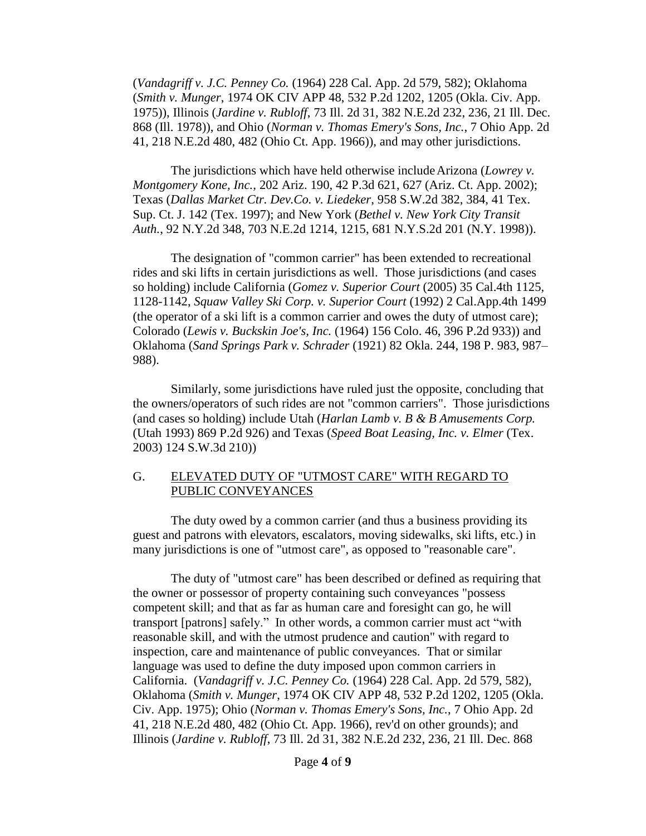(*Vandagriff v. J.C. Penney Co.* (1964) 228 Cal. App. 2d 579, 582); Oklahoma (*Smith v. Munger*, 1974 OK CIV APP 48, 532 P.2d 1202, 1205 (Okla. Civ. App. 1975)), Illinois (*Jardine v. Rubloff*, 73 Ill. 2d 31, 382 N.E.2d 232, 236, 21 Ill. Dec. 868 (Ill. 1978)), and Ohio (*Norman v. Thomas Emery's Sons, Inc.*, 7 Ohio App. 2d 41, 218 N.E.2d 480, 482 (Ohio Ct. App. 1966)), and may other jurisdictions.

The jurisdictions which have held otherwise includeArizona (*Lowrey v. Montgomery Kone, Inc.,* 202 Ariz. 190, 42 P.3d 621, 627 (Ariz. Ct. App. 2002); Texas (*Dallas Market Ctr. Dev.Co. v. Liedeker*, 958 S.W.2d 382, 384, 41 Tex. Sup. Ct. J. 142 (Tex. 1997); and New York (*Bethel v. New York City Transit Auth.*, 92 N.Y.2d 348, 703 N.E.2d 1214, 1215, 681 N.Y.S.2d 201 (N.Y. 1998)).

The designation of "common carrier" has been extended to recreational rides and ski lifts in certain jurisdictions as well. Those jurisdictions (and cases so holding) include California (*Gomez v. Superior Court* (2005) 35 Cal.4th 1125, 1128-1142, *Squaw Valley Ski Corp. v. Superior Court* (1992) 2 Cal.App.4th 1499 (the operator of a ski lift is a common carrier and owes the duty of utmost care); Colorado (*Lewis v. Buckskin Joe's, Inc.* (1964) 156 Colo. 46, 396 P.2d 933)) and Oklahoma (*Sand Springs Park v. Schrader* (1921) 82 Okla. 244, 198 P. 983, 987– 988).

Similarly, some jurisdictions have ruled just the opposite, concluding that the owners/operators of such rides are not "common carriers". Those jurisdictions (and cases so holding) include Utah (*Harlan Lamb v. B & B Amusements Corp.* (Utah 1993) 869 P.2d 926) and Texas (*Speed Boat Leasing, Inc. v. Elmer* (Tex. 2003) 124 S.W.3d 210))

#### G. ELEVATED DUTY OF "UTMOST CARE" WITH REGARD TO PUBLIC CONVEYANCES

The duty owed by a common carrier (and thus a business providing its guest and patrons with elevators, escalators, moving sidewalks, ski lifts, etc.) in many jurisdictions is one of "utmost care", as opposed to "reasonable care".

The duty of "utmost care" has been described or defined as requiring that the owner or possessor of property containing such conveyances "possess competent skill; and that as far as human care and foresight can go, he will transport [patrons] safely." In other words, a common carrier must act "with reasonable skill, and with the utmost prudence and caution" with regard to inspection, care and maintenance of public conveyances. That or similar language was used to define the duty imposed upon common carriers in California. (*Vandagriff v. J.C. Penney Co.* (1964) 228 Cal. App. 2d 579, 582), Oklahoma (*Smith v. Munger*, 1974 OK CIV APP 48, 532 P.2d 1202, 1205 (Okla. Civ. App. 1975); Ohio (*Norman v. Thomas Emery's Sons, Inc.*, 7 Ohio App. 2d 41, 218 N.E.2d 480, 482 (Ohio Ct. App. 1966), rev'd on other grounds); and Illinois (*Jardine v. Rubloff*, 73 Ill. 2d 31, 382 N.E.2d 232, 236, 21 Ill. Dec. 868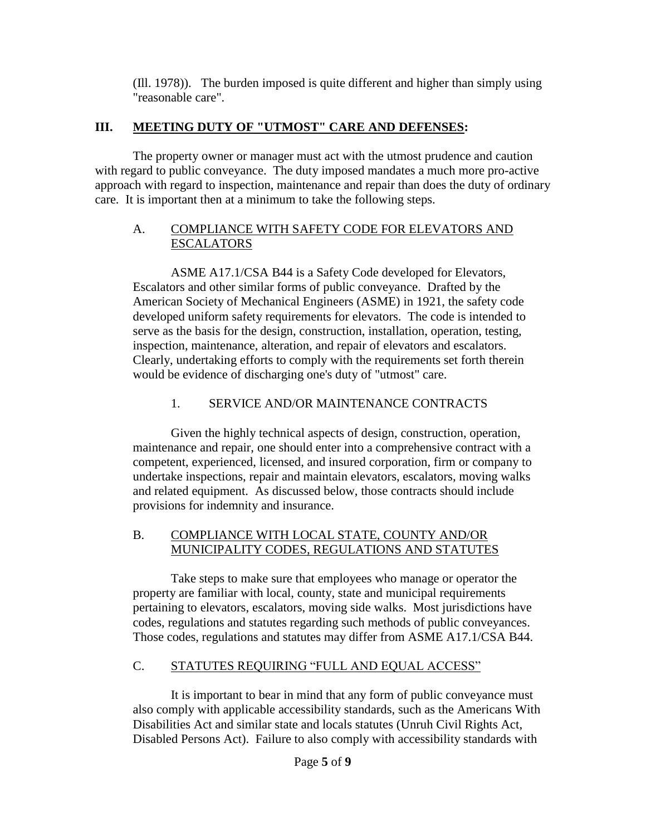(Ill. 1978)). The burden imposed is quite different and higher than simply using "reasonable care".

## **III. MEETING DUTY OF "UTMOST" CARE AND DEFENSES:**

The property owner or manager must act with the utmost prudence and caution with regard to public conveyance. The duty imposed mandates a much more pro-active approach with regard to inspection, maintenance and repair than does the duty of ordinary care. It is important then at a minimum to take the following steps.

## A. COMPLIANCE WITH SAFETY CODE FOR ELEVATORS AND **ESCALATORS**

ASME A17.1/CSA B44 is a Safety Code developed for Elevators, Escalators and other similar forms of public conveyance. Drafted by the American Society of Mechanical Engineers (ASME) in 1921, the safety code developed uniform safety requirements for elevators. The code is intended to serve as the basis for the design, construction, installation, operation, testing, inspection, maintenance, alteration, and repair of elevators and escalators. Clearly, undertaking efforts to comply with the requirements set forth therein would be evidence of discharging one's duty of "utmost" care.

# 1. SERVICE AND/OR MAINTENANCE CONTRACTS

Given the highly technical aspects of design, construction, operation, maintenance and repair, one should enter into a comprehensive contract with a competent, experienced, licensed, and insured corporation, firm or company to undertake inspections, repair and maintain elevators, escalators, moving walks and related equipment. As discussed below, those contracts should include provisions for indemnity and insurance.

### B. COMPLIANCE WITH LOCAL STATE, COUNTY AND/OR MUNICIPALITY CODES, REGULATIONS AND STATUTES

Take steps to make sure that employees who manage or operator the property are familiar with local, county, state and municipal requirements pertaining to elevators, escalators, moving side walks. Most jurisdictions have codes, regulations and statutes regarding such methods of public conveyances. Those codes, regulations and statutes may differ from ASME A17.1/CSA B44.

# C. STATUTES REQUIRING "FULL AND EQUAL ACCESS"

It is important to bear in mind that any form of public conveyance must also comply with applicable accessibility standards, such as the Americans With Disabilities Act and similar state and locals statutes (Unruh Civil Rights Act, Disabled Persons Act). Failure to also comply with accessibility standards with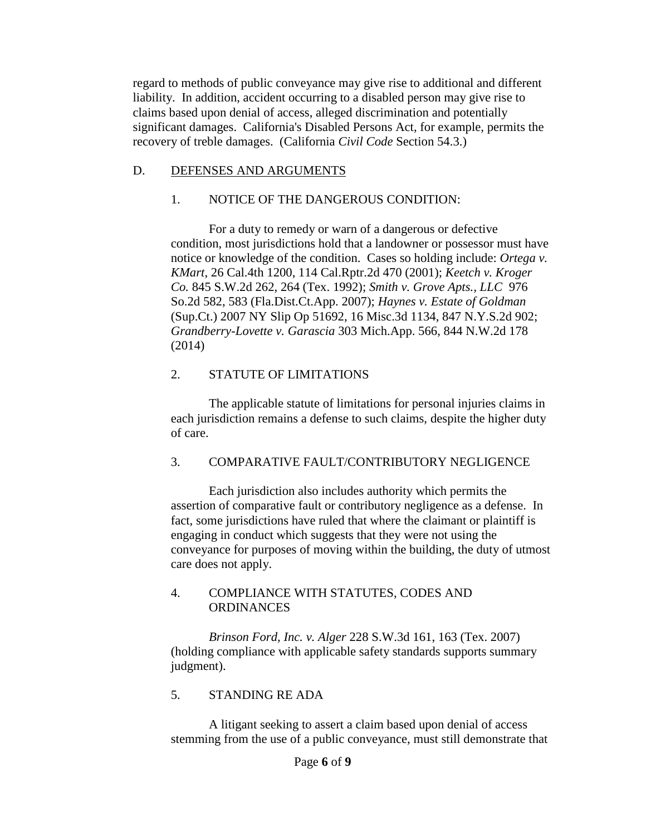regard to methods of public conveyance may give rise to additional and different liability. In addition, accident occurring to a disabled person may give rise to claims based upon denial of access, alleged discrimination and potentially significant damages. California's Disabled Persons Act, for example, permits the recovery of treble damages. (California *Civil Code* Section 54.3.)

### D. DEFENSES AND ARGUMENTS

## 1. NOTICE OF THE DANGEROUS CONDITION:

For a duty to remedy or warn of a dangerous or defective condition, most jurisdictions hold that a landowner or possessor must have notice or knowledge of the condition. Cases so holding include: *Ortega v. KMart*, 26 Cal.4th 1200, 114 Cal.Rptr.2d 470 (2001); *Keetch v. Kroger Co.* 845 S.W.2d 262, 264 (Tex. 1992); *Smith v. Grove Apts., LLC* 976 So.2d 582, 583 (Fla.Dist.Ct.App. 2007); *Haynes v. Estate of Goldman* (Sup.Ct.) 2007 NY Slip Op 51692, 16 Misc.3d 1134, 847 N.Y.S.2d 902; *Grandberry-Lovette v. Garascia* 303 Mich.App. 566, 844 N.W.2d 178 (2014)

## 2. STATUTE OF LIMITATIONS

The applicable statute of limitations for personal injuries claims in each jurisdiction remains a defense to such claims, despite the higher duty of care.

## 3. COMPARATIVE FAULT/CONTRIBUTORY NEGLIGENCE

Each jurisdiction also includes authority which permits the assertion of comparative fault or contributory negligence as a defense. In fact, some jurisdictions have ruled that where the claimant or plaintiff is engaging in conduct which suggests that they were not using the conveyance for purposes of moving within the building, the duty of utmost care does not apply.

#### 4. COMPLIANCE WITH STATUTES, CODES AND **ORDINANCES**

*Brinson Ford, Inc. v. Alger* 228 S.W.3d 161, 163 (Tex. 2007) (holding compliance with applicable safety standards supports summary judgment).

#### 5. STANDING RE ADA

A litigant seeking to assert a claim based upon denial of access stemming from the use of a public conveyance, must still demonstrate that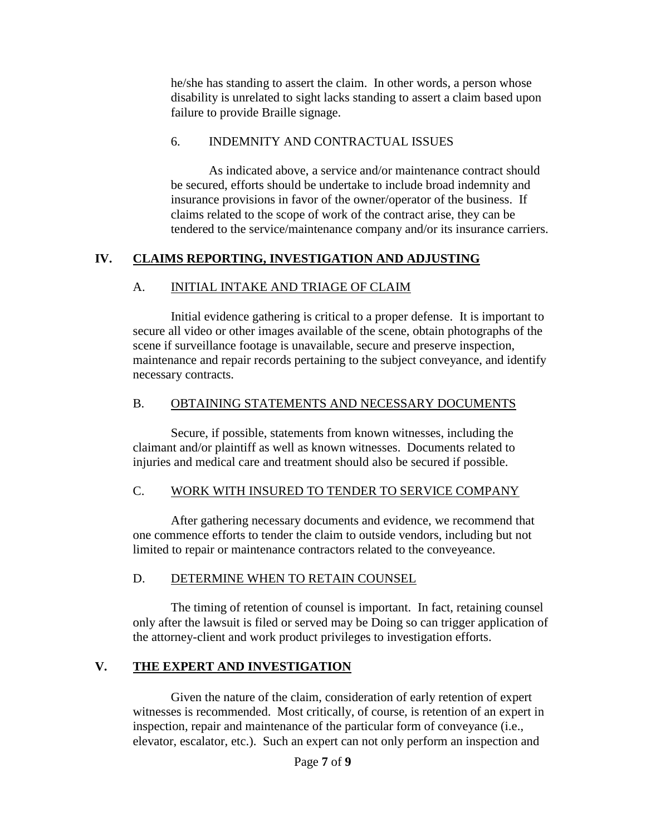he/she has standing to assert the claim. In other words, a person whose disability is unrelated to sight lacks standing to assert a claim based upon failure to provide Braille signage.

#### 6. INDEMNITY AND CONTRACTUAL ISSUES

As indicated above, a service and/or maintenance contract should be secured, efforts should be undertake to include broad indemnity and insurance provisions in favor of the owner/operator of the business. If claims related to the scope of work of the contract arise, they can be tendered to the service/maintenance company and/or its insurance carriers.

### **IV. CLAIMS REPORTING, INVESTIGATION AND ADJUSTING**

### A. INITIAL INTAKE AND TRIAGE OF CLAIM

Initial evidence gathering is critical to a proper defense. It is important to secure all video or other images available of the scene, obtain photographs of the scene if surveillance footage is unavailable, secure and preserve inspection, maintenance and repair records pertaining to the subject conveyance, and identify necessary contracts.

### B. OBTAINING STATEMENTS AND NECESSARY DOCUMENTS

Secure, if possible, statements from known witnesses, including the claimant and/or plaintiff as well as known witnesses. Documents related to injuries and medical care and treatment should also be secured if possible.

#### C. WORK WITH INSURED TO TENDER TO SERVICE COMPANY

After gathering necessary documents and evidence, we recommend that one commence efforts to tender the claim to outside vendors, including but not limited to repair or maintenance contractors related to the conveyeance.

#### D. DETERMINE WHEN TO RETAIN COUNSEL

The timing of retention of counsel is important. In fact, retaining counsel only after the lawsuit is filed or served may be Doing so can trigger application of the attorney-client and work product privileges to investigation efforts.

#### **V. THE EXPERT AND INVESTIGATION**

Given the nature of the claim, consideration of early retention of expert witnesses is recommended. Most critically, of course, is retention of an expert in inspection, repair and maintenance of the particular form of conveyance (i.e., elevator, escalator, etc.). Such an expert can not only perform an inspection and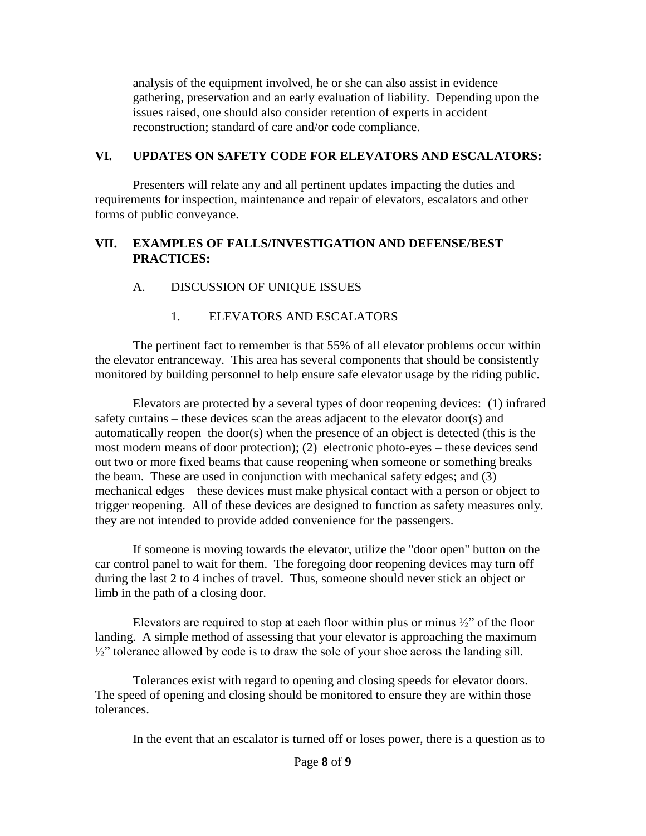analysis of the equipment involved, he or she can also assist in evidence gathering, preservation and an early evaluation of liability. Depending upon the issues raised, one should also consider retention of experts in accident reconstruction; standard of care and/or code compliance.

#### **VI. UPDATES ON SAFETY CODE FOR ELEVATORS AND ESCALATORS:**

Presenters will relate any and all pertinent updates impacting the duties and requirements for inspection, maintenance and repair of elevators, escalators and other forms of public conveyance.

### **VII. EXAMPLES OF FALLS/INVESTIGATION AND DEFENSE/BEST PRACTICES:**

## A. DISCUSSION OF UNIQUE ISSUES

## 1. ELEVATORS AND ESCALATORS

The pertinent fact to remember is that 55% of all elevator problems occur within the elevator entranceway. This area has several components that should be consistently monitored by building personnel to help ensure safe elevator usage by the riding public.

Elevators are protected by a several types of door reopening devices: (1) infrared safety curtains – these devices scan the areas adjacent to the elevator door(s) and automatically reopen the door(s) when the presence of an object is detected (this is the most modern means of door protection); (2) electronic photo-eyes – these devices send out two or more fixed beams that cause reopening when someone or something breaks the beam. These are used in conjunction with mechanical safety edges; and (3) mechanical edges – these devices must make physical contact with a person or object to trigger reopening. All of these devices are designed to function as safety measures only. they are not intended to provide added convenience for the passengers.

If someone is moving towards the elevator, utilize the "door open" button on the car control panel to wait for them. The foregoing door reopening devices may turn off during the last 2 to 4 inches of travel. Thus, someone should never stick an object or limb in the path of a closing door.

Elevators are required to stop at each floor within plus or minus  $\frac{1}{2}$ " of the floor landing. A simple method of assessing that your elevator is approaching the maximum  $\frac{1}{2}$ " tolerance allowed by code is to draw the sole of your shoe across the landing sill.

Tolerances exist with regard to opening and closing speeds for elevator doors. The speed of opening and closing should be monitored to ensure they are within those tolerances.

In the event that an escalator is turned off or loses power, there is a question as to